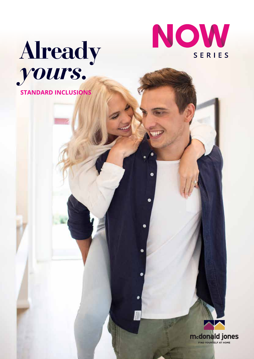

**STANDARD INCLUSIONS**



G

 $\bullet$ 

 $\bullet$ 

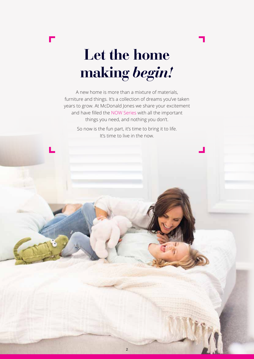

# **Let the home making** *begin!*

A new home is more than a mixture of materials, furniture and things. It's a collection of dreams you've taken years to grow. At McDonald Jones we share your excitement and have filled the NOW Series with all the important things you need, and nothing you don't.

> So now is the fun part, it's time to bring it to life. It's time to live in the now.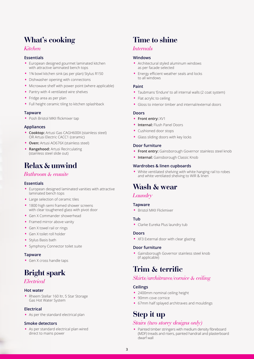# **What's cooking**

#### *Kitchen*

#### **Essentials**

- European designed gourmet laminated kitchen with attractive laminated bench tops
- 1¾ bowl kitchen sink (as per plan) Stylus R150
- Dishwasher opening with connections
- Microwave shelf with power point (where applicable)
- Pantry with 4 ventilated wire shelves
- Fridge area as per plan
- Full height ceramic tiling to kitchen splashback

#### **Tapware**

• Posh Bristol MKII flickmixer tap

#### **Appliances**

- **Cooktop:** Artusi Gas CAGH600X (stainless steel) OR Artusi Electric CACC1 (ceramic)
- **Oven:** Artusi AO676X (stainless steel)
- **Rangehood:** Artusi Recirculating (stainless steel slide out)

### **Relax & unwind**

#### *Bathroom & ensuite*

#### **Essentials**

- European designed laminated vanities with attractive laminated bench tops
- Large selection of ceramic tiles
- 1800 high semi framed shower screens with clear toughened glass with pivot door
- Gen X Commander showerhead
- Framed mirror above vanity
- Gen X towel rail or rings
- Gen X toilet roll holder
- Stylus Basis bath
- Symphony Connector toilet suite

#### **Tapware**

• Gen X cross handle taps

# **Bright spark**

#### *Electrical*

#### **Hot water**

• Rheem Stellar 160 ltr, 5 Star Storage Gas Hot Water System

#### **Electrical**

• As per the standard electrical plan

#### **Smoke detectors**

• As per standard electrical plan wired direct to mains power

## **Time to shine**

#### *Internals*

#### **Windows**

- Architectural styled aluminum windows as per facade selected
- Energy efficient weather seals and locks to all windows

#### **Paint**

- Taubmans 'Endure' to all internal walls (2 coat system)
- Flat acrylic to ceiling
- Gloss to interior timber and internal/external doors

#### **Doors**

- **Front entry:** XV1
- **Internal:** Flush Panel Doors
- Cushioned door stops
- Glass sliding doors with key locks

#### **Door furniture**

- **Front entry:** Gainsborough Governor stainless steel knob
- **Internal:** Gainsborough Classic Knob

#### **Wardrobes & linen cupboards**

• White ventilated shelving with white hanging rail to robes and white ventilated shelving to WIR & linen

### **Wash & wear**

#### *Laundry*

#### **Tapware**

• Bristol MKII Flickmixer

#### **Tub**

• Clarke Eureka Plus laundry tub

#### **Doors**

• XF3 External door with clear glazing

#### **Door furniture**

• Gainsborough Governor stainless steel knob (if applicable)

### **Trim & terrific**

#### *Skirts/architraves/cornice & ceiling*

#### **Ceilings**

- 2400mm nominal ceiling height
- 90mm cove cornice
- 67mm half splayed architraves and mouldings

# **Step it up**

#### *Stairs (two storey designs only)*

• Painted timber stringers with medium density fibreboard (MDF) treads and risers, painted handrail and plasterboard dwarf wall